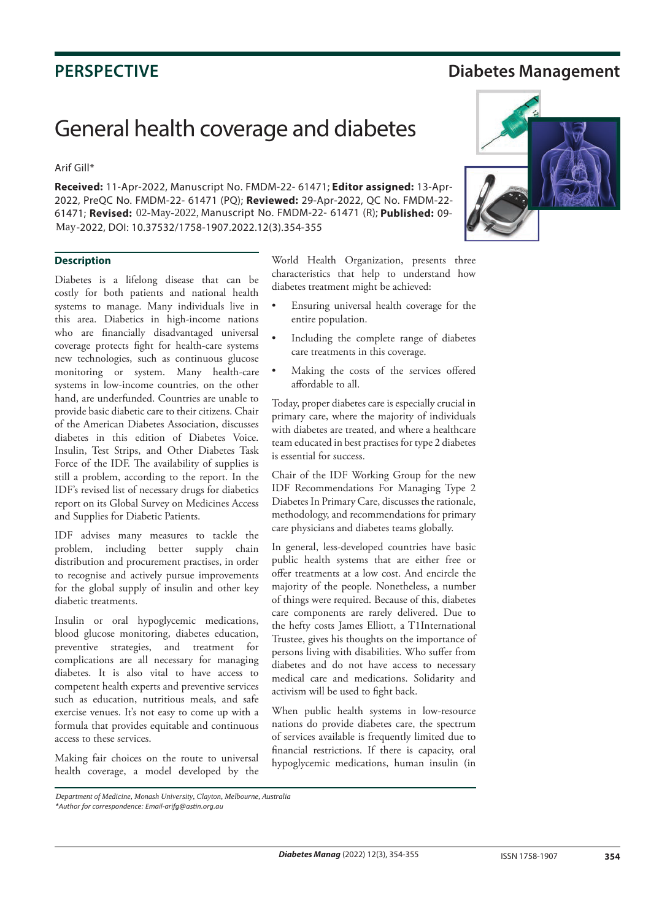## **PERSPECTIVE Diabetes Management**

## General health coverage and diabetes

## Arif Gill\*

**Received:** 11-Apr-2022, Manuscript No. FMDM-22- 61471; **Editor assigned:** 13-Apr-2022, PreQC No. FMDM-22- 61471 (PQ); **Reviewed:** 29-Apr-2022, QC No. FMDM-22- 61471; **Revised:** 02-May-2022, Manuscript No. FMDM-22- 61471 (R); Published: 09-May-2022, DOI: 10.37532/1758-1907.2022.12(3).354-355



Diabetes is a lifelong disease that can be costly for both patients and national health systems to manage. Many individuals live in this area. Diabetics in high-income nations who are financially disadvantaged universal coverage protects fight for health-care systems new technologies, such as continuous glucose monitoring or system. Many health-care systems in low-income countries, on the other hand, are underfunded. Countries are unable to provide basic diabetic care to their citizens. Chair of the American Diabetes Association, discusses diabetes in this edition of Diabetes Voice. Insulin, Test Strips, and Other Diabetes Task Force of the IDF. The availability of supplies is still a problem, according to the report. In the IDF's revised list of necessary drugs for diabetics report on its Global Survey on Medicines Access and Supplies for Diabetic Patients.

IDF advises many measures to tackle the problem, including better supply chain distribution and procurement practises, in order to recognise and actively pursue improvements for the global supply of insulin and other key diabetic treatments.

Insulin or oral hypoglycemic medications, blood glucose monitoring, diabetes education, preventive strategies, and treatment for complications are all necessary for managing diabetes. It is also vital to have access to competent health experts and preventive services such as education, nutritious meals, and safe exercise venues. It's not easy to come up with a formula that provides equitable and continuous access to these services.

Making fair choices on the route to universal health coverage, a model developed by the World Health Organization, presents three characteristics that help to understand how diabetes treatment might be achieved:

- Ensuring universal health coverage for the entire population.
- Including the complete range of diabetes care treatments in this coverage.
- Making the costs of the services offered affordable to all.

Today, proper diabetes care is especially crucial in primary care, where the majority of individuals with diabetes are treated, and where a healthcare team educated in best practises for type 2 diabetes is essential for success.

Chair of the IDF Working Group for the new IDF Recommendations For Managing Type 2 Diabetes In Primary Care, discusses the rationale, methodology, and recommendations for primary care physicians and diabetes teams globally.

In general, less-developed countries have basic public health systems that are either free or offer treatments at a low cost. And encircle the majority of the people. Nonetheless, a number of things were required. Because of this, diabetes care components are rarely delivered. Due to the hefty costs James Elliott, a T1International Trustee, gives his thoughts on the importance of persons living with disabilities. Who suffer from diabetes and do not have access to necessary medical care and medications. Solidarity and activism will be used to fight back.

When public health systems in low-resource nations do provide diabetes care, the spectrum of services available is frequently limited due to financial restrictions. If there is capacity, oral hypoglycemic medications, human insulin (in



*<sup>\*</sup>Author for correspondence: Email-arifg@astin.org.au Department of Medicine, Monash University, Clayton, Melbourne, Australia*